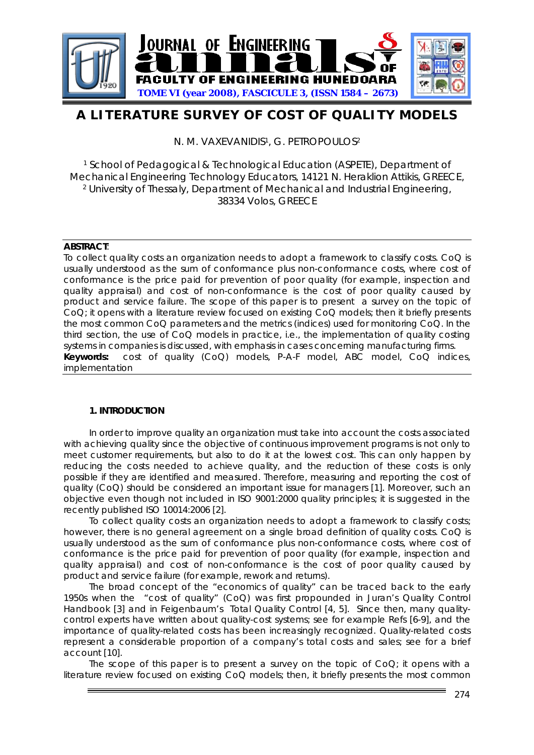

# **A LITERATURE SURVEY OF COST OF QUALITY MODELS**

N. M. VAXEVANIDIS<sup>1</sup>, G. PETROPOULOS<sup>2</sup>

1 School of Pedagogical & Technological Education (ASPETE), Department of Mechanical Engineering Technology Educators, 14121 N. Heraklion Attikis, GREECE, 2 University of Thessaly, Department of Mechanical and Industrial Engineering, 38334 Volos, GREECE

## **ABSTRACT**:

To collect quality costs an organization needs to adopt a framework to classify costs. CoQ is usually understood as the sum of conformance plus non-conformance costs, where cost of conformance is the price paid for prevention of poor quality (for example, inspection and quality appraisal) and cost of non-conformance is the cost of poor quality caused by product and service failure. The scope of this paper is to present a survey on the topic of CoQ; it opens with a literature review focused on existing CoQ models; then it briefly presents the most common CoQ parameters and the metrics (indices) used for monitoring CoQ. In the third section, the use of CoQ models in practice, i.e., the implementation of quality costing systems in companies is discussed, with emphasis in cases concerning manufacturing firms. **Keywords:** cost of quality (CoQ) models, P-A-F model, ABC model, CoQ indices, implementation

# **1. INTRODUCTION**

In order to improve quality an organization must take into account the costs associated with achieving quality since the objective of continuous improvement programs is not only to meet customer requirements, but also to do it at the lowest cost. This can only happen by reducing the costs needed to achieve quality, and the reduction of these costs is only possible if they are identified and measured. Therefore, measuring and reporting the cost of quality (CoQ) should be considered an important issue for managers [1]. Moreover, such an objective even though not included in ISO 9001:2000 quality principles; it is suggested in the recently published ISO 10014:2006 [2].

To collect quality costs an organization needs to adopt a framework to classify costs; however, there is no general agreement on a single broad definition of quality costs. CoQ is usually understood as the sum of conformance plus non-conformance costs, where cost of conformance is the price paid for prevention of poor quality (for example, inspection and quality appraisal) and cost of non-conformance is the cost of poor quality caused by product and service failure (for example, rework and returns).

The broad concept of the "economics of quality" can be traced back to the early 1950s when the "cost of quality" (CoQ) was first propounded in Juran's Quality Control Handbook [3] and in Feigenbaum's Total Quality Control [4, 5]. Since then, many qualitycontrol experts have written about quality-cost systems; see for example Refs [6-9], and the importance of quality-related costs has been increasingly recognized. Quality-related costs represent a considerable proportion of a company's total costs and sales; see for a brief account [10].

The scope of this paper is to present a survey on the topic of  $CoQ$ ; it opens with a literature review focused on existing CoQ models; then, it briefly presents the most common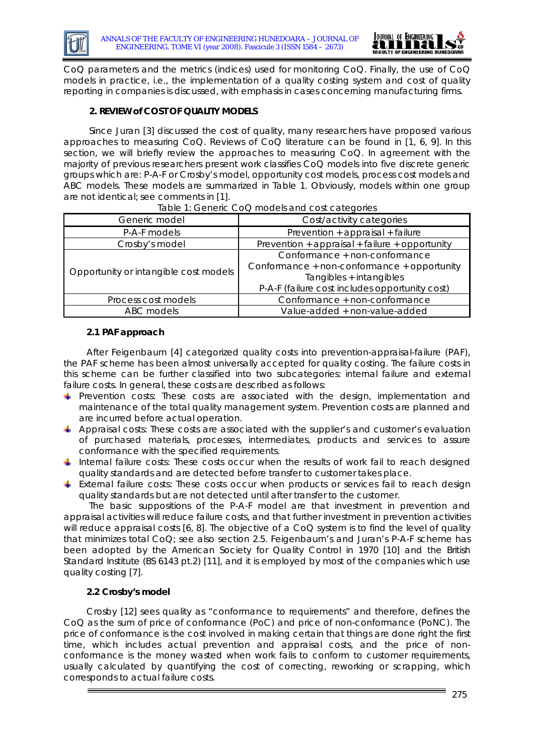

CoQ parameters and the metrics (indices) used for monitoring CoQ. Finally, the use of CoQ models in practice, i.e., the implementation of a quality costing system and cost of quality reporting in companies is discussed, with emphasis in cases concerning manufacturing firms.

# **2. REVIEW of COST OF QUALITY MODELS**

Since Juran [3] discussed the cost of quality, many researchers have proposed various approaches to measuring CoQ. Reviews of CoQ literature can be found in [1, 6, 9]. In this section, we will briefly review the approaches to measuring CoQ. In agreement with the majority of previous researchers present work classifies CoQ models into five discrete generic groups which are: P-A-F or Crosby's model, opportunity cost models, process cost models and ABC models. These models are summarized in Table 1. Obviously, models within one group are not identical; see comments in [1].

| Generic model                         | Cost/activity categories                       |  |
|---------------------------------------|------------------------------------------------|--|
| P-A-F models                          | Prevention + appraisal + failure               |  |
| Crosby's model                        | Prevention + appraisal + failure + opportunity |  |
| Opportunity or intangible cost models | Conformance + non-conformance                  |  |
|                                       | Conformance + non-conformance + opportunity    |  |
|                                       | Tangibles + intangibles                        |  |
|                                       | P-A-F (failure cost includes opportunity cost) |  |
| Process cost models                   | Conformance + non-conformance                  |  |
| ABC models                            | Value-added + non-value-added                  |  |

#### Table 1: Generic CoQ models and cost categories

## **2.1 PAF approach**

After Feigenbaum [4] categorized quality costs into prevention-appraisal-failure (PAF), the PAF scheme has been almost universally accepted for quality costing. The failure costs in this scheme can be further classified into two subcategories: internal failure and external failure costs. In general, these costs are described as follows:

- *Prevention costs:* These costs are associated with the design, implementation and maintenance of the total quality management system. Prevention costs are planned and are incurred before actual operation.
- *Appraisal costs:* These costs are associated with the supplier's and customer's evaluation of purchased materials, processes, intermediates, products and services to assure conformance with the specified requirements.
- **I** Internal failure costs: These costs occur when the results of work fail to reach designed quality standards and are detected before transfer to customer takes place.
- *External failure costs:* These costs occur when products or services fail to reach design quality standards but are not detected until after transfer to the customer.

The basic suppositions of the P-A-F model are that investment in prevention and appraisal activities will reduce failure costs, and that further investment in prevention activities will reduce appraisal costs [6, 8]. The objective of a CoQ system is to find the level of quality that minimizes total CoQ; see also section 2.5. Feigenbaum's and Juran's P-A-F scheme has been adopted by the American Society for Quality Control in 1970 [10] and the British Standard Institute (BS 6143 pt.2) [11], and it is employed by most of the companies which use quality costing [7].

# **2.2 Crosby's model**

Crosby [12] sees quality as "conformance to requirements" and therefore, defines the CoQ as the sum of price of conformance (PoC) and price of non-conformance (PoNC). The price of conformance is the cost involved in making certain that things are done right the first time, which includes actual prevention and appraisal costs, and the price of nonconformance is the money wasted when work fails to conform to customer requirements, usually calculated by quantifying the cost of correcting, reworking or scrapping, which corresponds to actual failure costs.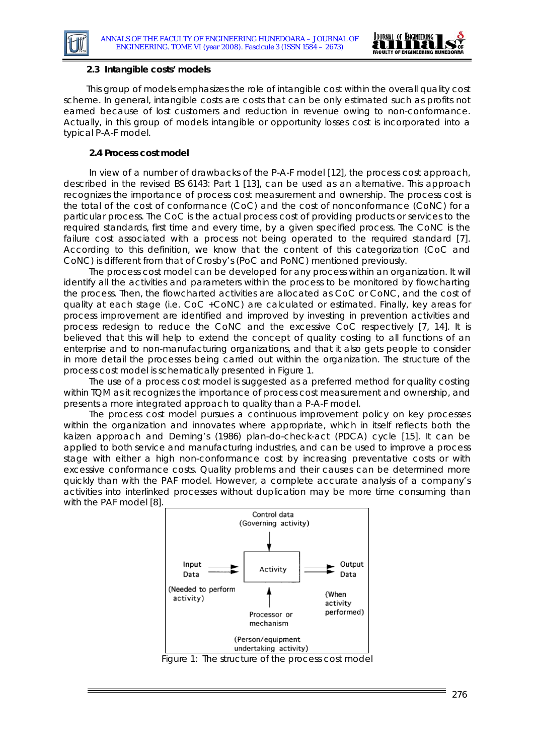



#### **2.3 Intangible costs' models**

This group of models emphasizes the role of intangible cost within the overall quality cost scheme. In general, intangible costs are costs that can be only estimated such as profits not earned because of lost customers and reduction in revenue owing to non-conformance. Actually, in this group of models intangible or opportunity losses cost is incorporated into a typical P-A-F model.

### **2.4 Process cost model**

In view of a number of drawbacks of the P-A-F model [12], the process cost approach, described in the revised BS 6143: Part 1 [13], can be used as an alternative. This approach recognizes the importance of process cost measurement and ownership. The process cost is the total of the cost of conformance (CoC) and the cost of nonconformance (CoNC) for a particular process. The CoC is the actual process cost of providing products or services to the required standards, first time and every time, by a given specified process. The CoNC is the failure cost associated with a process not being operated to the required standard [7]. According to this definition, we know that the content of this categorization (CoC and CoNC) is different from that of Crosby's (PoC and PoNC) mentioned previously.

The process cost model can be developed for any process within an organization. It will identify all the activities and parameters within the process to be monitored by flowcharting the process. Then, the flowcharted activities are allocated as CoC or CoNC, and the cost of quality at each stage (i.e. CoC +CoNC) are calculated or estimated. Finally, key areas for process improvement are identified and improved by investing in prevention activities and process redesign to reduce the CoNC and the excessive CoC respectively [7, 14]. It is believed that this will help to extend the concept of quality costing to all functions of an enterprise and to non-manufacturing organizations, and that it also gets people to consider in more detail the processes being carried out within the organization. The structure of the process cost model is schematically presented in Figure 1.

The use of a process cost model is suggested as a preferred method for quality costing within TQM as it recognizes the importance of process cost measurement and ownership, and presents a more integrated approach to quality than a P-A-F model.

The process cost model pursues a continuous improvement policy on key processes within the organization and innovates where appropriate, which in itself reflects both the kaizen approach and Deming's (1986) plan-do-check-act (PDCA) cycle [15]. It can be applied to both service and manufacturing industries, and can be used to improve a process stage with either a high non-conformance cost by increasing preventative costs or with excessive conformance costs. Quality problems and their causes can be determined more quickly than with the PAF model. However, a complete accurate analysis of a company's activities into interlinked processes without duplication may be more time consuming than with the PAF model [8].



Figure 1: The structure of the process cost model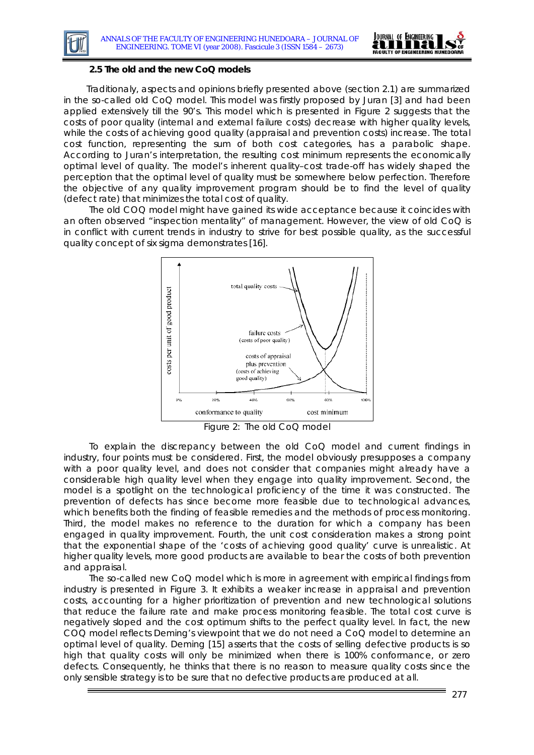



#### **2.5 The old and the new CoQ models**

Traditionaly, aspects and opinions briefly presented above (section 2.1) are summarized in the so-called old CoQ model. This model was firstly proposed by Juran [3] and had been applied extensively till the 90's. This model which is presented in Figure 2 suggests that the costs of poor quality (internal and external failure costs) decrease with higher quality levels, while the costs of achieving good quality (appraisal and prevention costs) increase. The total cost function, representing the sum of both cost categories, has a parabolic shape. According to Juran's interpretation, the resulting cost minimum represents the economically optimal level of quality. The model's inherent quality–cost trade-off has widely shaped the perception that the optimal level of quality must be somewhere below perfection. Therefore the objective of any quality improvement program should be to find the level of quality (defect rate) that minimizes the total cost of quality.

The old COQ model might have gained its wide acceptance because it coincides with an often observed "inspection mentality" of management. However, the view of old CoQ is in conflict with current trends in industry to strive for best possible quality, as the successful quality concept of six sigma demonstrates [16].



Figure 2: The old CoQ model

To explain the discrepancy between the old CoQ model and current findings in industry, four points must be considered. First, the model obviously presupposes a company with a poor quality level, and does not consider that companies might already have a considerable high quality level when they engage into quality improvement. Second, the model is a spotlight on the technological proficiency of the time it was constructed. The prevention of defects has since become more feasible due to technological advances, which benefits both the finding of feasible remedies and the methods of process monitoring. Third, the model makes no reference to the duration for which a company has been engaged in quality improvement. Fourth, the unit cost consideration makes a strong point that the exponential shape of the 'costs of achieving good quality' curve is unrealistic. At higher quality levels, more good products are available to bear the costs of both prevention and appraisal.

The so-called new CoQ model which is more in agreement with empirical findings from industry is presented in Figure 3. It exhibits a weaker increase in appraisal and prevention costs, accounting for a higher prioritization of prevention and new technological solutions that reduce the failure rate and make process monitoring feasible. The total cost curve is negatively sloped and the cost optimum shifts to the perfect quality level. In fact, the new COQ model reflects Deming's viewpoint that we do not need a CoQ model to determine an optimal level of quality. Deming [15] asserts that the costs of selling defective products is so high that quality costs will only be minimized when there is 100% conformance, or zero defects. Consequently, he thinks that there is no reason to measure quality costs since the only sensible strategy is to be sure that no defective products are produced at all.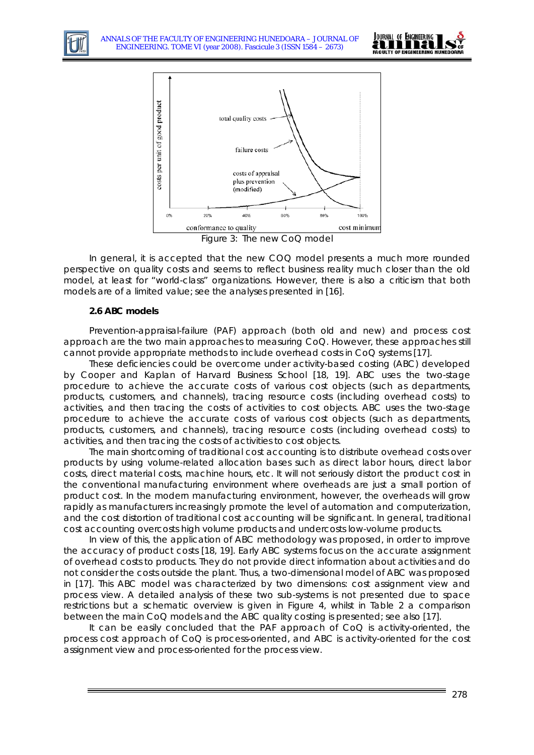





Figure 3: The new CoQ model

In general, it is accepted that the new COQ model presents a much more rounded perspective on quality costs and seems to reflect business reality much closer than the old model, at least for "world-class" organizations. However, there is also a criticism that both models are of a limited value; see the analyses presented in [16].

#### **2.6 ABC models**

Prevention-appraisal-failure (PAF) approach (both old and new) and process cost approach are the two main approaches to measuring CoQ. However, these approaches still cannot provide appropriate methods to include overhead costs in CoQ systems [17].

These deficiencies could be overcome under activity-based costing (ABC) developed by Cooper and Kaplan of Harvard Business School [18, 19]. ABC uses the two-stage procedure to achieve the accurate costs of various cost objects (such as departments, products, customers, and channels), tracing resource costs (including overhead costs) to activities, and then tracing the costs of activities to cost objects. ABC uses the two-stage procedure to achieve the accurate costs of various cost objects (such as departments, products, customers, and channels), tracing resource costs (including overhead costs) to activities, and then tracing the costs of activities to cost objects.

The main shortcoming of traditional cost accounting is to distribute overhead costs over products by using volume-related allocation bases such as direct labor hours, direct labor costs, direct material costs, machine hours, etc. It will not seriously distort the product cost in the conventional manufacturing environment where overheads are just a small portion of product cost. In the modern manufacturing environment, however, the overheads will grow rapidly as manufacturers increasingly promote the level of automation and computerization, and the cost distortion of traditional cost accounting will be significant. In general, traditional cost accounting overcosts high volume products and undercosts low-volume products.

In view of this, the application of ABC methodology was proposed, in order to improve the accuracy of product costs [18, 19]. Early ABC systems focus on the accurate assignment of overhead costs to products. They do not provide direct information about activities and do not consider the costs outside the plant. Thus, a two-dimensional model of ABC was proposed in [17]. This ABC model was characterized by two dimensions: cost assignment view and process view. A detailed analysis of these two sub-systems is not presented due to space restrictions but a schematic overview is given in Figure 4, whilst in Table 2 a comparison between the main CoQ models and the ABC quality costing is presented; see also [17].

It can be easily concluded that the PAF approach of CoQ is activity-oriented, the process cost approach of CoQ is process-oriented, and ABC is activity-oriented for the cost assignment view and process-oriented for the process view.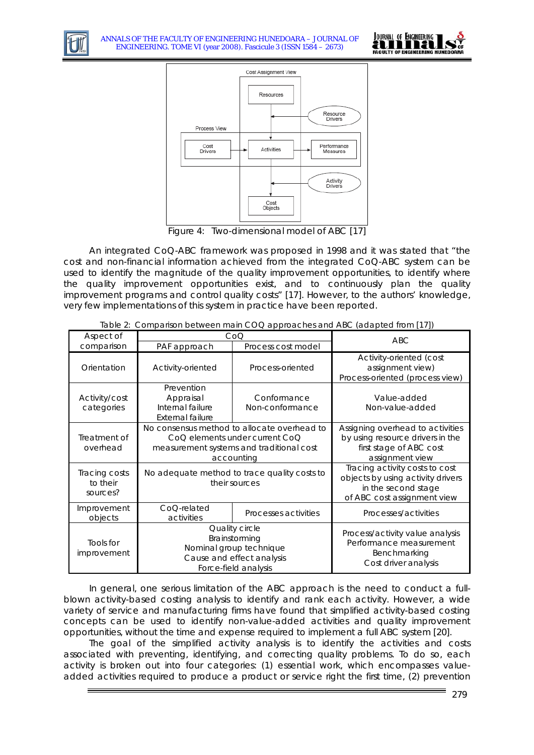





Figure 4: Two-dimensional model of ABC [17]

An integrated CoQ-ABC framework was proposed in 1998 and it was stated that "the cost and non-financial information achieved from the integrated CoQ-ABC system can be used to identify the magnitude of the quality improvement opportunities, to identify where the quality improvement opportunities exist, and to continuously plan the quality improvement programs and control quality costs" [17]. However, to the authors' knowledge, very few implementations of this system in practice have been reported.

| Aspect of                             | rapic z. Companion between main oble approaches and noo (adapted non [17])<br>CoO                                                       |                                | <b>ABC</b>                                                                                                                |
|---------------------------------------|-----------------------------------------------------------------------------------------------------------------------------------------|--------------------------------|---------------------------------------------------------------------------------------------------------------------------|
| comparison                            | PAF approach                                                                                                                            | Process cost model             |                                                                                                                           |
| Orientation                           | Activity-oriented                                                                                                                       | Process-oriented               | Activity-oriented (cost<br>assignment view)<br>Process-oriented (process view)                                            |
| Activity/cost<br>categories           | Prevention<br>Appraisal<br>Internal failure<br><b>External failure</b>                                                                  | Conformance<br>Non-conformance | Value-added<br>Non-value-added                                                                                            |
| Treatment of<br>overhead              | No consensus method to allocate overhead to<br>CoQ elements under current CoQ<br>measurement systems and traditional cost<br>accounting |                                | Assigning overhead to activities<br>by using resource drivers in the<br>first stage of ABC cost<br>assignment view        |
| Tracing costs<br>to their<br>sources? | No adequate method to trace quality costs to<br>their sources                                                                           |                                | Tracing activity costs to cost<br>objects by using activity drivers<br>in the second stage<br>of ABC cost assignment view |
| Improvement<br>objects                | CoQ-related<br>activities                                                                                                               | Processes activities           | Processes/activities                                                                                                      |
| Tools for<br>improvement              | Quality circle<br>Brainstorming<br>Nominal group technique<br>Cause and effect analysis<br>Force-field analysis                         |                                | Process/activity value analysis<br>Performance measurement<br>Benchmarking<br>Cost driver analysis                        |

Table 2: Comparison between main COQ approaches and ABC (adapted from [17])

In general, one serious limitation of the ABC approach is the need to conduct a fullblown activity-based costing analysis to identify and rank each activity. However, a wide variety of service and manufacturing firms have found that simplified activity-based costing concepts can be used to identify non-value-added activities and quality improvement opportunities, without the time and expense required to implement a full ABC system [20].

The goal of the simplified activity analysis is to identify the activities and costs associated with preventing, identifying, and correcting quality problems. To do so, each activity is broken out into four categories: (1) *essential work*, which encompasses valueadded activities required to produce a product or service right the first time, (2) *prevention*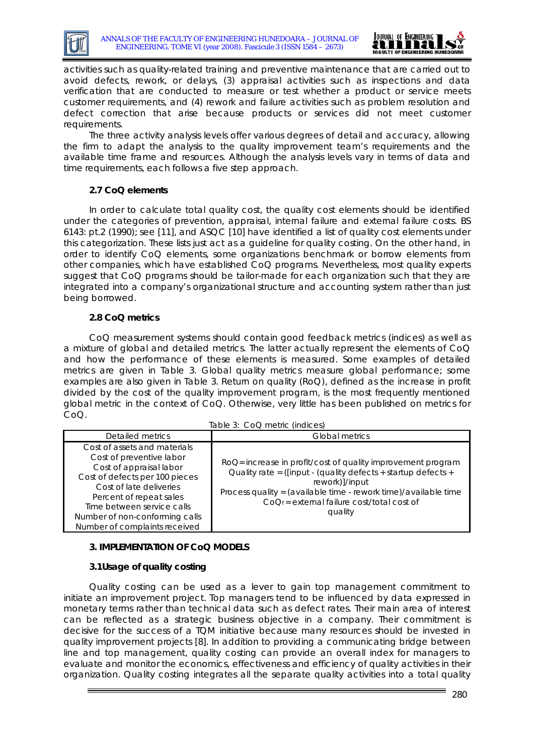



activities such as quality-related training and preventive maintenance that are carried out to avoid defects, rework, or delays, (3) *appraisal* activities such as inspections and data verification that are conducted to measure or test whether a product or service meets customer requirements, and (4) *rework and failure* activities such as problem resolution and defect correction that arise because products or services did not meet customer requirements.

The three activity analysis levels offer various degrees of detail and accuracy, allowing the firm to adapt the analysis to the quality improvement team's requirements and the available time frame and resources. Although the analysis levels vary in terms of data and time requirements, each follows a five step approach.

# **2.7 CoQ elements**

In order to calculate total quality cost, the quality cost elements should be identified under the categories of prevention, appraisal, internal failure and external failure costs. BS 6143: pt.2 (1990); see [11], and ASQC [10] have identified a list of quality cost elements under this categorization. These lists just act as a guideline for quality costing. On the other hand, in order to identify CoQ elements, some organizations benchmark or borrow elements from other companies, which have established CoQ programs. Nevertheless, most quality experts suggest that CoQ programs should be tailor-made for each organization such that they are integrated into a company's organizational structure and accounting system rather than just being borrowed.

## **2.8 CoQ metrics**

CoQ measurement systems should contain good feedback metrics (indices) as well as a mixture of global and detailed metrics. The latter actually represent the elements of CoQ and how the performance of these elements is measured. Some examples of detailed metrics are given in Table 3. Global quality metrics measure global performance; some examples are also given in Table 3. Return on quality (RoQ), defined as the increase in profit divided by the cost of the quality improvement program, is the most frequently mentioned global metric in the context of CoQ. Otherwise, very little has been published on metrics for CoQ.

| Table 3: CoQ metric (indices) |  |
|-------------------------------|--|
|-------------------------------|--|

| Detailed metrics                                                                                                                                                                                                                                                             | Global metrics                                                                                                                                                                                                                                                                |
|------------------------------------------------------------------------------------------------------------------------------------------------------------------------------------------------------------------------------------------------------------------------------|-------------------------------------------------------------------------------------------------------------------------------------------------------------------------------------------------------------------------------------------------------------------------------|
| Cost of assets and materials<br>Cost of preventive labor<br>Cost of appraisal labor<br>Cost of defects per 100 pieces<br>Cost of late deliveries<br>Percent of repeat sales<br>Time between service calls<br>Number of non-conforming calls<br>Number of complaints received | RoQ= increase in profit/cost of quality improvement program<br>Quality rate = ([input - (quality defects + startup defects +<br>rework)]/input<br>Process quality = (available time - rework time)/available time<br>$CoQ_f$ = external failure cost/total cost of<br>quality |

# **3. IMPLEMENTATION OF CoQ MODELS**

# **3.1Usage of quality costing**

Quality costing can be used as a lever to gain top management commitment to initiate an improvement project. Top managers tend to be influenced by data expressed in monetary terms rather than technical data such as defect rates. Their main area of interest can be reflected as a strategic business objective in a company. Their commitment is decisive for the success of a TQM initiative because many resources should be invested in quality improvement projects [8]. In addition to providing a communicating bridge between line and top management, quality costing can provide an overall index for managers to evaluate and monitor the economics, effectiveness and efficiency of quality activities in their organization. Quality costing integrates all the separate quality activities into a total quality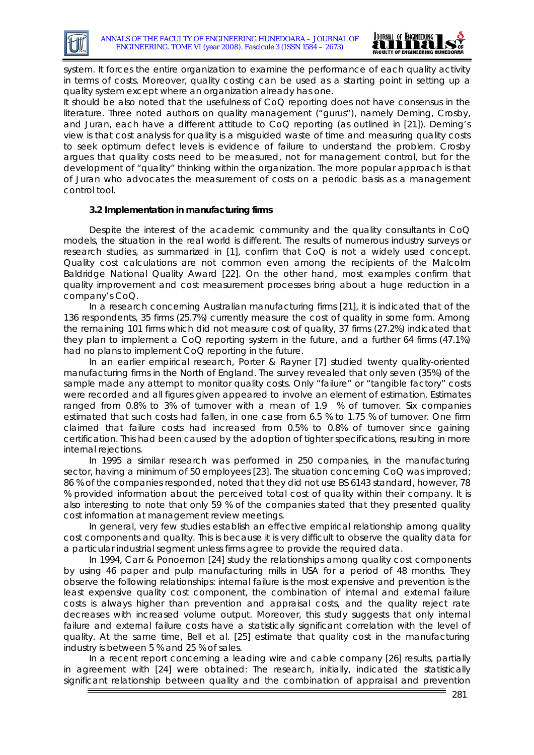

system. It forces the entire organization to examine the performance of each quality activity in terms of costs. Moreover, quality costing can be used as a starting point in setting up a quality system except where an organization already has one.

It should be also noted that the usefulness of CoQ reporting does not have consensus in the literature. Three noted authors on quality management ("gurus"), namely Deming, Crosby, and Juran, each have a different attitude to CoQ reporting (as outlined in [21]). Deming's view is that cost analysis for quality is a misguided waste of time and measuring quality costs to seek optimum defect levels is evidence of failure to understand the problem. Crosby argues that quality costs need to be measured, not for management control, but for the development of "quality" thinking within the organization. The more popular approach is that of Juran who advocates the measurement of costs on a periodic basis as a management control tool.

## **3.2 Implementation in manufacturing firms**

Despite the interest of the academic community and the quality consultants in CoQ models, the situation in the real world is different. The results of numerous industry surveys or research studies, as summarized in [1], confirm that CoQ is not a widely used concept. Quality cost calculations are not common even among the recipients of the Malcolm Baldridge National Quality Award [22]. On the other hand, most examples confirm that quality improvement and cost measurement processes bring about a huge reduction in a company's CoQ.

In a research concerning Australian manufacturing firms [21], it is indicated that of the 136 respondents, 35 firms (25.7%) currently measure the cost of quality in some form. Among the remaining 101 firms which did not measure cost of quality, 37 firms (27.2%) indicated that they plan to implement a CoQ reporting system in the future, and a further 64 firms (47.1%) had no plans to implement CoQ reporting in the future.

In an earlier empirical research, Porter & Rayner [7] studied twenty quality-oriented manufacturing firms in the North of England. The survey revealed that only seven (35%) of the sample made any attempt to monitor quality costs. Only "failure" or "tangible factory" costs were recorded and all figures given appeared to involve an element of estimation. Estimates ranged from 0.8% to 3% of turnover with a mean of 1.9 % of turnover. Six companies estimated that such costs had fallen, in one case from 6.5 % to 1.75 % of turnover. One firm claimed that failure costs had increased from 0.5% to 0.8% of turnover since gaining certification. This had been caused by the adoption of tighter specifications, resulting in more internal rejections.

In 1995 a similar research was performed in 250 companies, in the manufacturing sector, having a minimum of 50 employees [23]. The situation concerning CoQ was improved; 86 % of the companies responded, noted that they did not use BS 6143 standard, however, 78 % provided information about the perceived total cost of quality within their company. It is also interesting to note that only 59 % of the companies stated that they presented quality cost information at management review meetings.

In general, very few studies establish an effective empirical relationship among quality cost components and quality. This is because it is very difficult to observe the quality data for a particular industrial segment unless firms agree to provide the required data.

In 1994, Carr & Ponoemon [24] study the relationships among quality cost components by using 46 paper and pulp manufacturing mills in USA for a period of 48 months. They observe the following relationships: internal failure is the most expensive and prevention is the least expensive quality cost component, the combination of internal and external failure costs is always higher than prevention and appraisal costs, and the quality reject rate decreases with increased volume output. Moreover, this study suggests that only internal failure and external failure costs have a statistically significant correlation with the level of quality. At the same time, Bell et al. [25] estimate that quality cost in the manufacturing industry is between 5 % and 25 % of sales.

In a recent report concerning a leading wire and cable company [26] results, partially in agreement with [24] were obtained: The research, initially, indicated the statistically significant relationship between quality and the combination of appraisal and prevention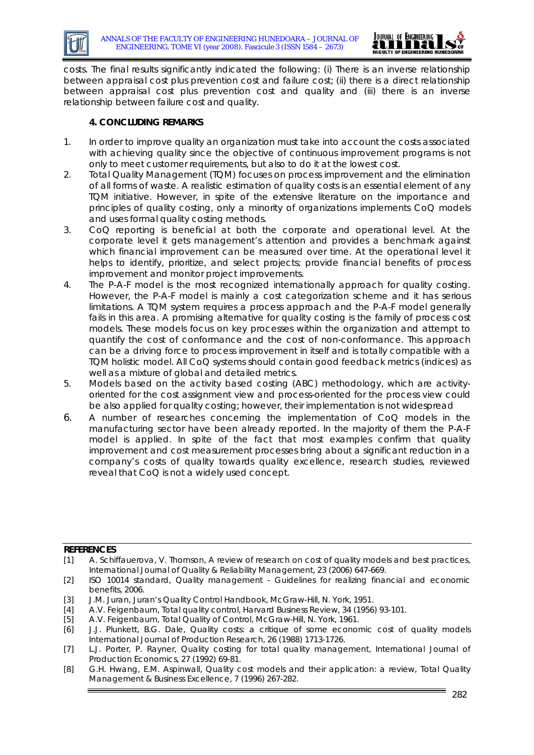

costs. The final results significantly indicated the following: (i) There is an inverse relationship between appraisal cost plus prevention cost and failure cost; (ii) there is a direct relationship between appraisal cost plus prevention cost and quality and (iii) there is an inverse relationship between failure cost and quality.

## **4. CONCLUDING REMARKS**

- 1. In order to improve quality an organization must take into account the costs associated with achieving quality since the objective of continuous improvement programs is not only to meet customer requirements, but also to do it at the lowest cost.
- 2. Total Quality Management (TQM) focuses on process improvement and the elimination of all forms of waste. A realistic estimation of quality costs is an essential element of any TQM initiative. However, in spite of the extensive literature on the importance and principles of quality costing, only a minority of organizations implements CoQ models and uses formal quality costing methods.
- 3. CoQ reporting is beneficial at both the corporate and operational level. At the corporate level it gets management's attention and provides a benchmark against which financial improvement can be measured over time. At the operational level it helps to identify, prioritize, and select projects; provide financial benefits of process improvement and monitor project improvements.
- 4. The P-A-F model is the most recognized internationally approach for quality costing. However, the P-A-F model is mainly a cost categorization scheme and it has serious limitations. A TQM system requires a process approach and the P-A-F model generally fails in this area. A promising alternative for quality costing is the family of process cost models. These models focus on key processes within the organization and attempt to quantify the cost of conformance and the cost of non-conformance. This approach can be a driving force to process improvement in itself and is totally compatible with a TQM holistic model. All CoQ systems should contain good feedback metrics (indices) as well as a mixture of global and detailed metrics.
- 5. Models based on the activity based costing (ABC) methodology, which are activityoriented for the cost assignment view and process-oriented for the process view could be also applied for quality costing; however, their implementation is not widespread
- 6. A number of researches concerning the implementation of CoQ models in the manufacturing sector have been already reported. In the majority of them the P-A-F model is applied. In spite of the fact that most examples confirm that quality improvement and cost measurement processes bring about a significant reduction in a company's costs of quality towards quality excellence, research studies, reviewed reveal that CoQ is not a widely used concept.

#### **REFERENCES**

<sup>[1]</sup> A. Schiffauerova, V. Thomson, A review of research on cost of quality models and best practices, International Journal of Quality & Reliability Management, 23 (2006) 647-669.

<sup>[2]</sup> ISO 10014 standard, Quality management - Guidelines for realizing financial and economic benefits, 2006.

<sup>[3]</sup> J.M. Juran, Juran's Quality Control Handbook, McGraw-Hill, N. York, 1951.

<sup>[4]</sup> A.V. Feigenbaum, Total quality control, Harvard Business Review, 34 (1956) 93-101.

<sup>[5]</sup> A.V. Feigenbaum, Total Quality of Control, McGraw-Hill, N. York, 1961.

<sup>[6]</sup> J.J. Plunkett, B.G. Dale, Quality costs: a critique of some economic cost of quality models International Journal of Production Research, 26 (1988) 1713-1726.

<sup>[7]</sup> L.J. Porter, P. Rayner, Quality costing for total quality management, International Journal of Production Economics, 27 (1992) 69-81.

<sup>[8]</sup> G.H. Hwang, E.M. Aspinwall, Quality cost models and their application: a review, Total Quality Management & Business Excellence, 7 (1996) 267-282.